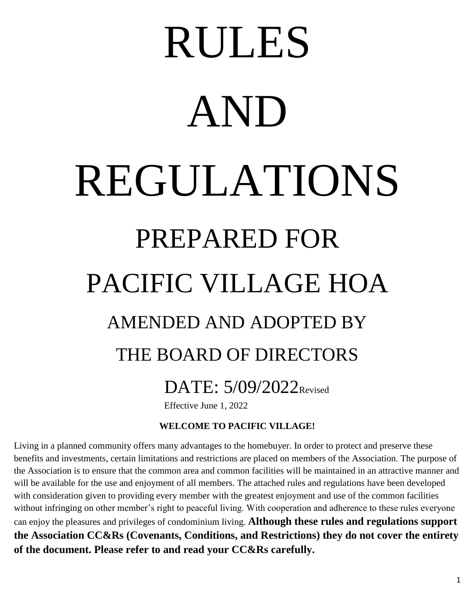# DATE: 5/09/2022<sub>Revised</sub> THE BOARD OF DIRECTORS AMENDED AND ADOPTED BY PACIFIC VILLAGE HOA PREPARED FOR REGULATIONS AND RULES

Effective June 1, 2022

# **WELCOME TO PACIFIC VILLAGE!**

**of the document. Please refer to and read your CC&Rs carefully. the Association CC&Rs (Covenants, Conditions, and Restrictions) they do not cover the entirety** can enjoy the pleasures and privileges of condominium living. **Although these rules and regulations support** without infringing on other member's right to peaceful living. With cooperation and adherence to these rules everyone with consideration given to providing every member with the greatest enjoyment and use of the common facilities will be available for the use and enjoyment of all members. The attached rules and regulations have been developed the Association is to ensure that the common area and common facilities will be maintained in an attractive manner and benefits and investments, certain limitations and restrictions are placed on members of the Association. The purpose of Living in a planned community offers many advantages to the homebuyer. In order to protect and preserve these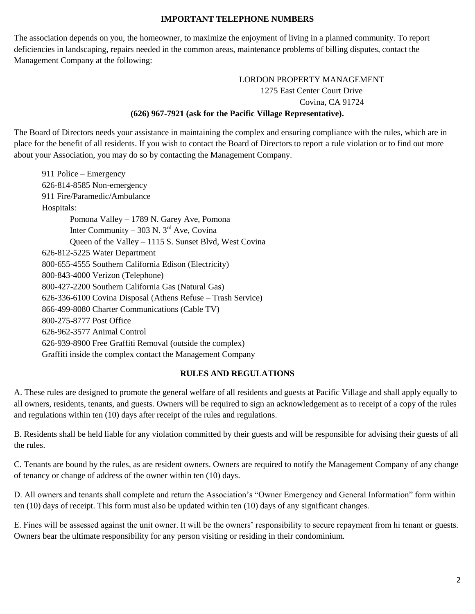## **IMPORTANT TELEPHONE NUMBERS**

Management Company at the following: deficiencies in landscaping, repairs needed in the common areas, maintenance problems of billing disputes, contact the The association depends on you, the homeowner, to maximize the enjoyment of living in a planned community. To report

> **(626) 967-7921 (ask for the Pacific Village Representative).** Covina, CA 91724 1275 East Center Court Drive LORDON PROPERTY MANAGEMENT

about your Association, you may do so by contacting the Management Company. place for the benefit of all residents. If you wish to contact the Board of Directors to report a rule violation or to find out more The Board of Directors needs your assistance in maintaining the complex and ensuring compliance with the rules, which are in

Graffiti inside the complex contact the Management Company 626-939-8900 Free Graffiti Removal (outside the complex) 626-962-3577 Animal Control 800-275-8777 Post Office 866-499-8080 Charter Communications (Cable TV) 626-336-6100 Covina Disposal (Athens Refuse – Trash Service) 800-427-2200 Southern California Gas (Natural Gas) 800-843-4000 Verizon (Telephone) 800-655-4555 Southern California Edison (Electricity) 626-812-5225 Water Department Queen of the Valley – 1115 S. Sunset Blvd, West Covina Inter Community – 303 N.  $3<sup>rd</sup>$  Ave, Covina Pomona Valley – 1789 N. Garey Ave, Pomona Hospitals: 911 Fire/Paramedic/Ambulance 626-814-8585 Non-emergency 911 Police – Emergency

#### **RULES AND REGULATIONS**

and regulations within ten (10) days after receipt of the rules and regulations. all owners, residents, tenants, and guests. Owners will be required to sign an acknowledgement as to receipt of a copy of the rules A. These rules are designed to promote the general welfare of all residents and guests at Pacific Village and shall apply equally to

the rules. B. Residents shall be held liable for any violation committed by their guests and will be responsible for advising their guests of all

of tenancy or change of address of the owner within ten (10) days. C. Tenants are bound by the rules, as are resident owners. Owners are required to notify the Management Company of any change

ten (10) days of receipt. This form must also be updated within ten (10) days of any significant changes. D. All owners and tenants shall complete and return the Association's "Owner Emergency and General Information" form within

Owners bear the ultimate responsibility for any person visiting or residing in their condominium. E. Fines will be assessed against the unit owner. It will be the owners' responsibility to secure repayment from hi tenant or guests.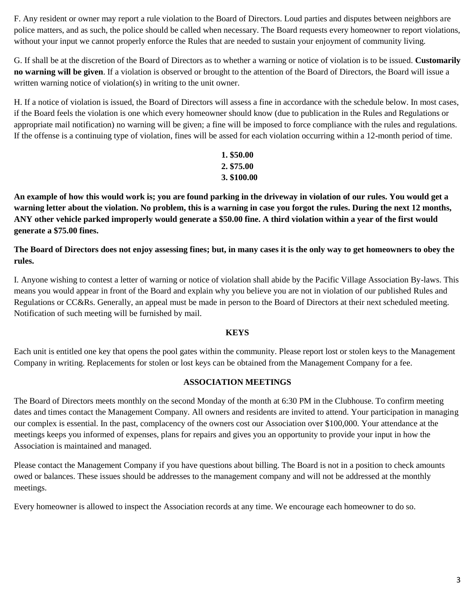without your input we cannot properly enforce the Rules that are needed to sustain your enjoyment of community living. police matters, and as such, the police should be called when necessary. The Board requests every homeowner to report violations, F. Any resident or owner may report a rule violation to the Board of Directors. Loud parties and disputes between neighbors are

written warning notice of violation(s) in writing to the unit owner. **no warning will be given**. If a violation is observed or brought to the attention of the Board of Directors, the Board will issue a G. If shall be at the discretion of the Board of Directors as to whether a warning or notice of violation is to be issued. **Customarily**

If the offense is a continuing type of violation, fines will be assed for each violation occurring within a 12-month period of time. appropriate mail notification) no warning will be given; a fine will be imposed to force compliance with the rules and regulations. if the Board feels the violation is one which every homeowner should know (due to publication in the Rules and Regulations or H. If a notice of violation is issued, the Board of Directors will assess a fine in accordance with the schedule below. In most cases,

# **3. \$100.00 2. \$75.00 1. \$50.00**

**generate a \$75.00 fines. ANY other vehicle parked improperly would generate a \$50.00 fine. A third violation within a year of the first would warning letter about the violation. No problem, this is a warning in case you forgot the rules. During the next 12 months, An example of how this would work is; you are found parking in the driveway in violation of our rules. You would get a**

**rules. The Board of Directors does not enjoy assessing fines; but, in many cases it is the only way to get homeowners to obey the**

Notification of such meeting will be furnished by mail. Regulations or CC&Rs. Generally, an appeal must be made in person to the Board of Directors at their next scheduled meeting. means you would appear in front of the Board and explain why you believe you are not in violation of our published Rules and I. Anyone wishing to contest a letter of warning or notice of violation shall abide by the Pacific Village Association By-laws. This

# **KEYS**

Company in writing. Replacements for stolen or lost keys can be obtained from the Management Company for a fee. Each unit is entitled one key that opens the pool gates within the community. Please report lost or stolen keys to the Management

# **ASSOCIATION MEETINGS**

Association is maintained and managed. meetings keeps you informed of expenses, plans for repairs and gives you an opportunity to provide your input in how the our complex is essential. In the past, complacency of the owners cost our Association over \$100,000. Your attendance at the dates and times contact the Management Company. All owners and residents are invited to attend. Your participation in managing The Board of Directors meets monthly on the second Monday of the month at 6:30 PM in the Clubhouse. To confirm meeting

meetings. owed or balances. These issues should be addresses to the management company and will not be addressed at the monthly Please contact the Management Company if you have questions about billing. The Board is not in a position to check amounts

Every homeowner is allowed to inspect the Association records at any time. We encourage each homeowner to do so.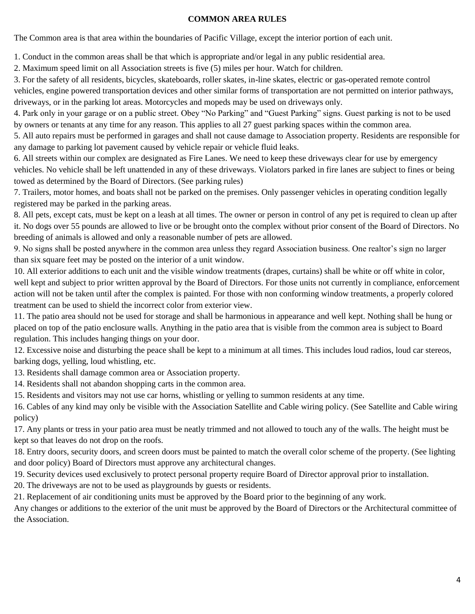## **COMMON AREA RULES**

The Common area is that area within the boundaries of Pacific Village, except the interior portion of each unit.

1. Conduct in the common areas shall be that which is appropriate and/or legal in any public residential area.

2. Maximum speed limit on all Association streets is five (5) miles per hour. Watch for children.

driveways, or in the parking lot areas. Motorcycles and mopeds may be used on driveways only. vehicles, engine powered transportation devices and other similar forms of transportation are not permitted on interior pathways, 3. For the safety of all residents, bicycles, skateboards, roller skates, in-line skates, electric or gas-operated remote control

by owners or tenants at any time for any reason. This applies to all 27 guest parking spaces within the common area. 4. Park only in your garage or on a public street. Obey "No Parking" and "Guest Parking" signs. Guest parking is not to be used

any damage to parking lot pavement caused by vehicle repair or vehicle fluid leaks. 5. All auto repairs must be performed in garages and shall not cause damage to Association property. Residents are responsible for

towed as determined by the Board of Directors. (See parking rules) vehicles. No vehicle shall be left unattended in any of these driveways. Violators parked in fire lanes are subject to fines or being 6. All streets within our complex are designated as Fire Lanes. We need to keep these driveways clear for use by emergency

registered may be parked in the parking areas. 7. Trailers, motor homes, and boats shall not be parked on the premises. Only passenger vehicles in operating condition legally

breeding of animals is allowed and only a reasonable number of pets are allowed. it. No dogs over 55 pounds are allowed to live or be brought onto the complex without prior consent of the Board of Directors. No 8. All pets, except cats, must be kept on a leash at all times. The owner or person in control of any pet is required to clean up after

than six square feet may be posted on the interior of a unit window. 9. No signs shall be posted anywhere in the common area unless they regard Association business. One realtor's sign no larger

treatment can be used to shield the incorrect color from exterior view. action will not be taken until after the complex is painted. For those with non conforming window treatments, a properly colored well kept and subject to prior written approval by the Board of Directors. For those units not currently in compliance, enforcement 10. All exterior additions to each unit and the visible window treatments (drapes, curtains) shall be white or off white in color,

regulation. This includes hanging things on your door. placed on top of the patio enclosure walls. Anything in the patio area that is visible from the common area is subject to Board 11. The patio area should not be used for storage and shall be harmonious in appearance and well kept. Nothing shall be hung or

barking dogs, yelling, loud whistling, etc. 12. Excessive noise and disturbing the peace shall be kept to a minimum at all times. This includes loud radios, loud car stereos,

13. Residents shall damage common area or Association property.

14. Residents shall not abandon shopping carts in the common area.

15. Residents and visitors may not use car horns, whistling or yelling to summon residents at any time.

policy) 16. Cables of any kind may only be visible with the Association Satellite and Cable wiring policy. (See Satellite and Cable wiring

kept so that leaves do not drop on the roofs. 17. Any plants or tress in your patio area must be neatly trimmed and not allowed to touch any of the walls. The height must be

and door policy) Board of Directors must approve any architectural changes. 18. Entry doors, security doors, and screen doors must be painted to match the overall color scheme of the property. (See lighting

19. Security devices used exclusively to protect personal property require Board of Director approval prior to installation.

20. The driveways are not to be used as playgrounds by guests or residents.

21. Replacement of air conditioning units must be approved by the Board prior to the beginning of any work.

the Association. Any changes or additions to the exterior of the unit must be approved by the Board of Directors or the Architectural committee of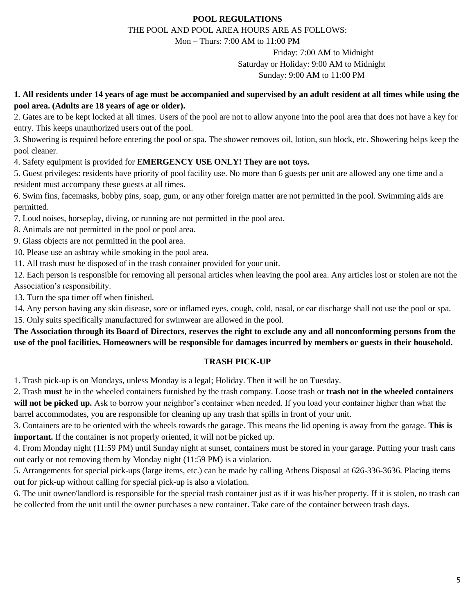# **POOL REGULATIONS**

THE POOL AND POOL AREA HOURS ARE AS FOLLOWS:

Mon – Thurs: 7:00 AM to 11:00 PM

Sunday: 9:00 AM to 11:00 PM Saturday or Holiday: 9:00 AM to Midnight Friday: 7:00 AM to Midnight

**pool area. (Adults are 18 years of age or older). 1. All residents under 14 years of age must be accompanied and supervised by an adult resident at all times while using the**

entry. This keeps unauthorized users out of the pool. 2. Gates are to be kept locked at all times. Users of the pool are not to allow anyone into the pool area that does not have a key for

pool cleaner. 3. Showering is required before entering the pool or spa. The shower removes oil, lotion, sun block, etc. Showering helps keep the

4. Safety equipment is provided for **EMERGENCY USE ONLY! They are not toys.**

resident must accompany these guests at all times. 5. Guest privileges: residents have priority of pool facility use. No more than 6 guests per unit are allowed any one time and a

permitted. 6. Swim fins, facemasks, bobby pins, soap, gum, or any other foreign matter are not permitted in the pool. Swimming aids are

7. Loud noises, horseplay, diving, or running are not permitted in the pool area.

8. Animals are not permitted in the pool or pool area.

9. Glass objects are not permitted in the pool area.

10. Please use an ashtray while smoking in the pool area.

11. All trash must be disposed of in the trash container provided for your unit.

Association's responsibility. 12. Each person is responsible for removing all personal articles when leaving the pool area. Any articles lost or stolen are not the

13. Turn the spa timer off when finished.

15. Only suits specifically manufactured for swimwear are allowed in the pool. 14. Any person having any skin disease, sore or inflamed eyes, cough, cold, nasal, or ear discharge shall not use the pool or spa.

**use of the pool facilities. Homeowners will be responsible for damages incurred by members or guests in their household. The Association through its Board of Directors, reserves the right to exclude any and all nonconforming persons from the**

#### **TRASH PICK-UP**

1. Trash pick-up is on Mondays, unless Monday is a legal; Holiday. Then it will be on Tuesday.

barrel accommodates, you are responsible for cleaning up any trash that spills in front of your unit. **will not be picked up.** Ask to borrow your neighbor's container when needed. If you load your container higher than what the 2. Trash **must** be in the wheeled containers furnished by the trash company. Loose trash or **trash not in the wheeled containers**

**important.** If the container is not properly oriented, it will not be picked up. 3. Containers are to be oriented with the wheels towards the garage. This means the lid opening is away from the garage. **This is**

out early or not removing them by Monday night (11:59 PM) is a violation. 4. From Monday night (11:59 PM) until Sunday night at sunset, containers must be stored in your garage. Putting your trash cans

out for pick-up without calling for special pick-up is also a violation. 5. Arrangements for special pick-ups (large items, etc.) can be made by calling Athens Disposal at 626-336-3636. Placing items

be collected from the unit until the owner purchases a new container. Take care of the container between trash days. 6. The unit owner/landlord is responsible for the special trash container just as if it was his/her property. If it is stolen, no trash can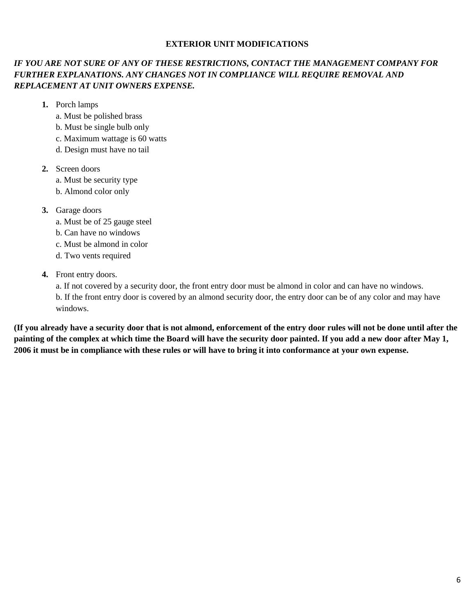#### **EXTERIOR UNIT MODIFICATIONS**

# *REPLACEMENT AT UNIT OWNERS EXPENSE. FURTHER EXPLANATIONS. ANY CHANGES NOT IN COMPLIANCE WILL REQUIRE REMOVAL AND IF YOU ARE NOT SURE OF ANY OF THESE RESTRICTIONS, CONTACT THE MANAGEMENT COMPANY FOR*

- **1.** Porch lamps
	- a. Must be polished brass
	- b. Must be single bulb only
	- c. Maximum wattage is 60 watts
	- d. Design must have no tail
- **2.** Screen doors
	- a. Must be security type
	- b. Almond color only
- **3.** Garage doors
	- a. Must be of 25 gauge steel
	- b. Can have no windows
	- c. Must be almond in color
	- d. Two vents required
- **4.** Front entry doors.

windows. b. If the front entry door is covered by an almond security door, the entry door can be of any color and may have a. If not covered by a security door, the front entry door must be almond in color and can have no windows.

**2006 it must be in compliance with these rules or will have to bring it into conformance at your own expense. painting of the complex at which time the Board will have the security door painted. If you add a new door after May 1, (If you already have a security door that is not almond, enforcement of the entry door rules will not be done until after the**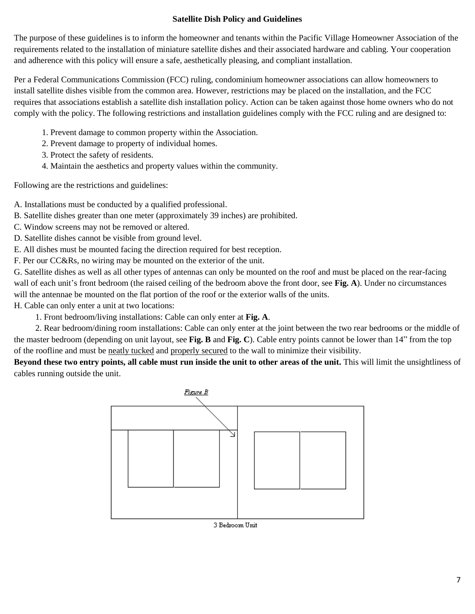# **Satellite Dish Policy and Guidelines**

The purpose of these guidelines is to inform the homeowner and tenants within the Pacific Village Homeowner Association of the requirements related to the installation of miniature satellite dishes and their associated hardware and cabling. Your cooperation and adherence with this policy will ensure a safe, aesthetically pleasing, and compliant installation.

Per a Federal Communications Commission (FCC) ruling, condominium homeowner associations can allow homeowners to install satellite dishes visible from the common area. However, restrictions may be placed on the installation, and the FCC requires that associations establish a satellite dish installation policy. Action can be taken against those home owners who do not comply with the policy. The following restrictions and installation guidelines comply with the FCC ruling and are designed to:

- 1. Prevent damage to common property within the Association.
- 2. Prevent damage to property of individual homes.
- 3. Protect the safety of residents.
- 4. Maintain the aesthetics and property values within the community.

Following are the restrictions and guidelines:

- A. Installations must be conducted by a qualified professional.
- B. Satellite dishes greater than one meter (approximately 39 inches) are prohibited.
- C. Window screens may not be removed or altered.
- D. Satellite dishes cannot be visible from ground level.
- E. All dishes must be mounted facing the direction required for best reception.
- F. Per our CC&Rs, no wiring may be mounted on the exterior of the unit.

G. Satellite dishes as well as all other types of antennas can only be mounted on the roof and must be placed on the rear-facing wall of each unit's front bedroom (the raised ceiling of the bedroom above the front door, see **Fig. A**). Under no circumstances will the antennae be mounted on the flat portion of the roof or the exterior walls of the units.

H. Cable can only enter a unit at two locations:

1. Front bedroom/living installations: Cable can only enter at **Fig. A**.

 2. Rear bedroom/dining room installations: Cable can only enter at the joint between the two rear bedrooms or the middle of the master bedroom (depending on unit layout, see **Fig. B** and **Fig. C**). Cable entry points cannot be lower than 14" from the top of the roofline and must be neatly tucked and properly secured to the wall to minimize their visibility.

**Beyond these two entry points, all cable must run inside the unit to other areas of the unit.** This will limit the unsightliness of cables running outside the unit.

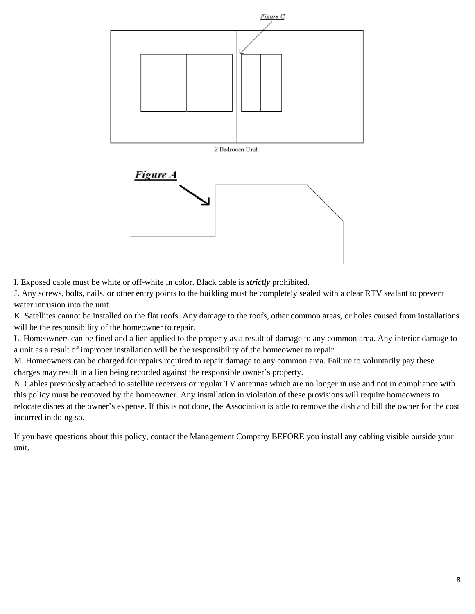

I. Exposed cable must be white or off-white in color. Black cable is *strictly* prohibited.

J. Any screws, bolts, nails, or other entry points to the building must be completely sealed with a clear RTV sealant to prevent water intrusion into the unit.

K. Satellites cannot be installed on the flat roofs. Any damage to the roofs, other common areas, or holes caused from installations will be the responsibility of the homeowner to repair.

L. Homeowners can be fined and a lien applied to the property as a result of damage to any common area. Any interior damage to a unit as a result of improper installation will be the responsibility of the homeowner to repair.

M. Homeowners can be charged for repairs required to repair damage to any common area. Failure to voluntarily pay these charges may result in a lien being recorded against the responsible owner's property.

N. Cables previously attached to satellite receivers or regular TV antennas which are no longer in use and not in compliance with this policy must be removed by the homeowner. Any installation in violation of these provisions will require homeowners to relocate dishes at the owner's expense. If this is not done, the Association is able to remove the dish and bill the owner for the cost incurred in doing so.

If you have questions about this policy, contact the Management Company BEFORE you install any cabling visible outside your unit.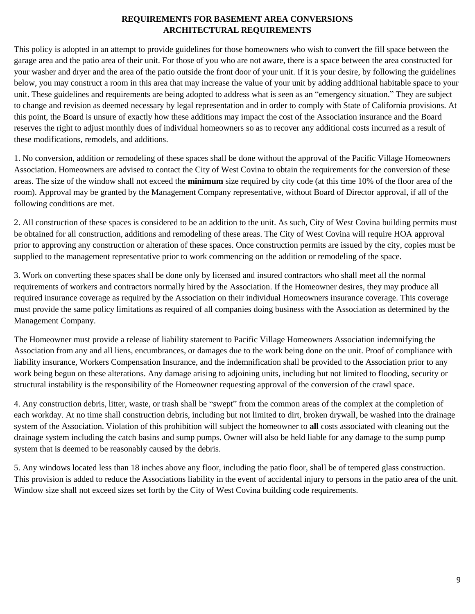# **REQUIREMENTS FOR BASEMENT AREA CONVERSIONS ARCHITECTURAL REQUIREMENTS**

This policy is adopted in an attempt to provide guidelines for those homeowners who wish to convert the fill space between the garage area and the patio area of their unit. For those of you who are not aware, there is a space between the area constructed for your washer and dryer and the area of the patio outside the front door of your unit. If it is your desire, by following the guidelines below, you may construct a room in this area that may increase the value of your unit by adding additional habitable space to your unit. These guidelines and requirements are being adopted to address what is seen as an "emergency situation." They are subject to change and revision as deemed necessary by legal representation and in order to comply with State of California provisions. At this point, the Board is unsure of exactly how these additions may impact the cost of the Association insurance and the Board reserves the right to adjust monthly dues of individual homeowners so as to recover any additional costs incurred as a result of these modifications, remodels, and additions.

1. No conversion, addition or remodeling of these spaces shall be done without the approval of the Pacific Village Homeowners Association. Homeowners are advised to contact the City of West Covina to obtain the requirements for the conversion of these areas. The size of the window shall not exceed the **minimum** size required by city code (at this time 10% of the floor area of the room). Approval may be granted by the Management Company representative, without Board of Director approval, if all of the following conditions are met.

2. All construction of these spaces is considered to be an addition to the unit. As such, City of West Covina building permits must be obtained for all construction, additions and remodeling of these areas. The City of West Covina will require HOA approval prior to approving any construction or alteration of these spaces. Once construction permits are issued by the city, copies must be supplied to the management representative prior to work commencing on the addition or remodeling of the space.

3. Work on converting these spaces shall be done only by licensed and insured contractors who shall meet all the normal requirements of workers and contractors normally hired by the Association. If the Homeowner desires, they may produce all required insurance coverage as required by the Association on their individual Homeowners insurance coverage. This coverage must provide the same policy limitations as required of all companies doing business with the Association as determined by the Management Company.

The Homeowner must provide a release of liability statement to Pacific Village Homeowners Association indemnifying the Association from any and all liens, encumbrances, or damages due to the work being done on the unit. Proof of compliance with liability insurance, Workers Compensation Insurance, and the indemnification shall be provided to the Association prior to any work being begun on these alterations. Any damage arising to adjoining units, including but not limited to flooding, security or structural instability is the responsibility of the Homeowner requesting approval of the conversion of the crawl space.

4. Any construction debris, litter, waste, or trash shall be "swept" from the common areas of the complex at the completion of each workday. At no time shall construction debris, including but not limited to dirt, broken drywall, be washed into the drainage system of the Association. Violation of this prohibition will subject the homeowner to **all** costs associated with cleaning out the drainage system including the catch basins and sump pumps. Owner will also be held liable for any damage to the sump pump system that is deemed to be reasonably caused by the debris.

5. Any windows located less than 18 inches above any floor, including the patio floor, shall be of tempered glass construction. This provision is added to reduce the Associations liability in the event of accidental injury to persons in the patio area of the unit. Window size shall not exceed sizes set forth by the City of West Covina building code requirements.